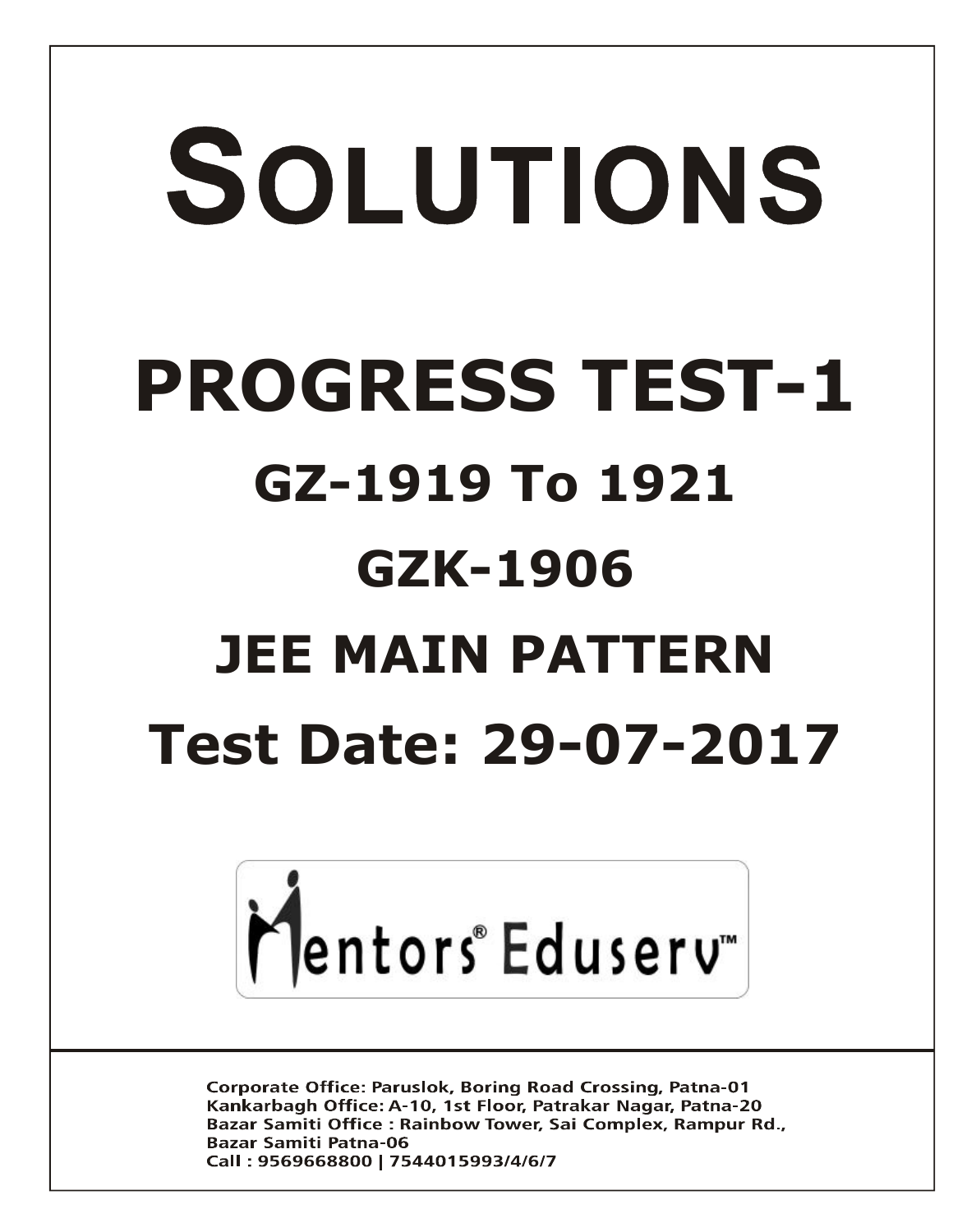# SOLUTIONS **PROGRESS TEST-1 GZ-1919 To 1921 GZK-1906 JEE MAIN PATTERN Test Date: 29-07-2017**



**Corporate Office: Paruslok, Boring Road Crossing, Patna-01** Kankarbagh Office: A-10, 1st Floor, Patrakar Nagar, Patna-20 Bazar Samiti Office: Rainbow Tower, Sai Complex, Rampur Rd., **Bazar Samiti Patna-06** Call: 9569668800 | 7544015993/4/6/7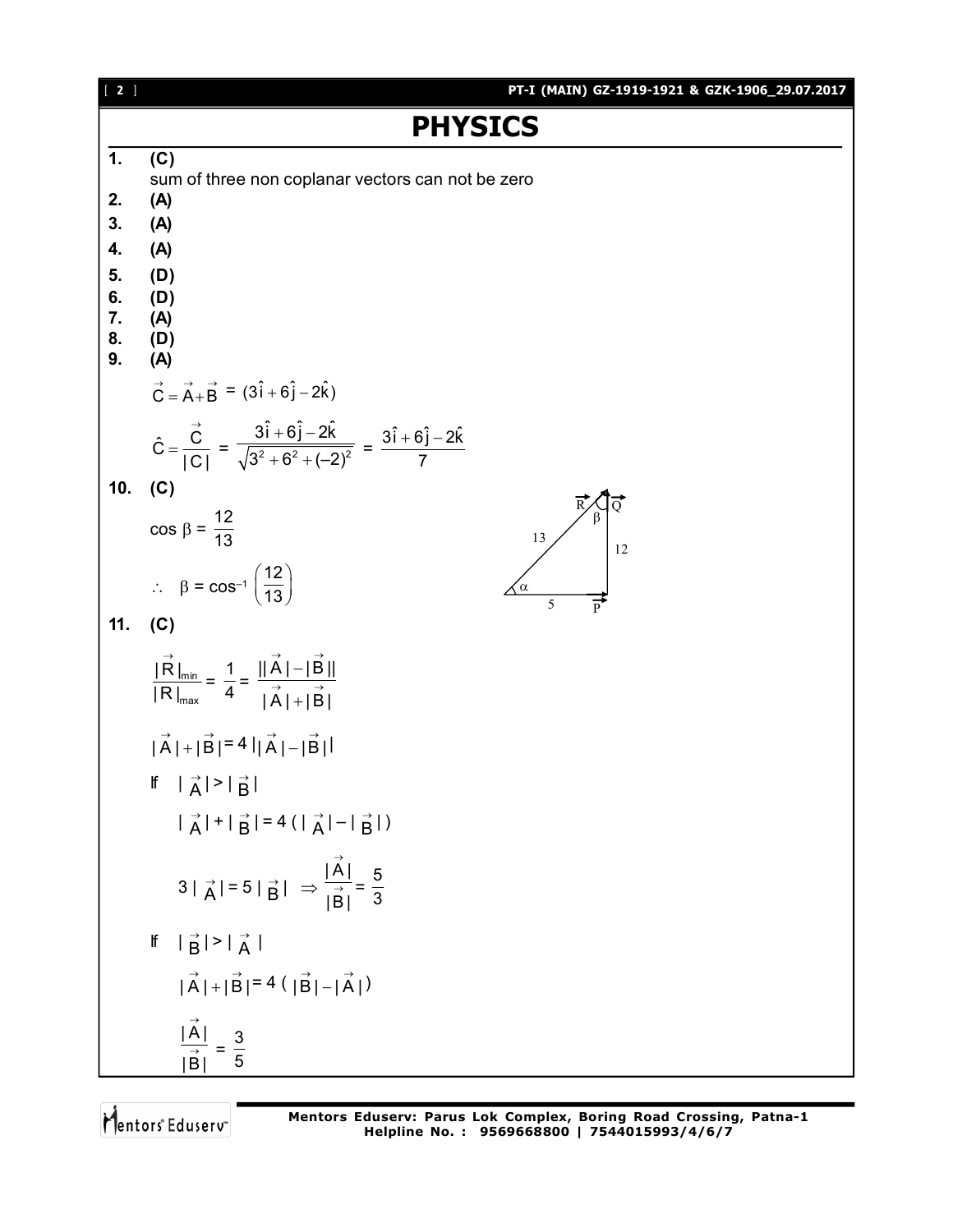| $[2]$         | PT-I (MAIN) GZ-1919-1921 & GZK-1906_29.07.2017                                                                                                |  |  |
|---------------|-----------------------------------------------------------------------------------------------------------------------------------------------|--|--|
|               | <b>PHYSICS</b>                                                                                                                                |  |  |
| $\mathbf 1$ . | (C)                                                                                                                                           |  |  |
| 2.            | sum of three non coplanar vectors can not be zero<br>(A)                                                                                      |  |  |
| 3.            | (A)                                                                                                                                           |  |  |
| 4.            | (A)                                                                                                                                           |  |  |
| 5.<br>6.      | (D)<br>(D)                                                                                                                                    |  |  |
| 7.<br>8.      | (A)<br>(D)                                                                                                                                    |  |  |
| 9.            | (A)                                                                                                                                           |  |  |
|               | $\vec{C} = \vec{A} + \vec{B} = (3\hat{i} + 6\hat{j} - 2\hat{k})$                                                                              |  |  |
|               | $\hat{C} = \frac{\vec{C}}{ C } = \frac{3\hat{i} + 6\hat{j} - 2\hat{k}}{\sqrt{3^2 + 6^2 + (-2)^2}} = \frac{3\hat{i} + 6\hat{j} - 2\hat{k}}{7}$ |  |  |
| 10.           | (C)                                                                                                                                           |  |  |
|               | $\cos \beta = \frac{12}{13}$<br>13<br>12                                                                                                      |  |  |
|               | $\therefore \quad \beta = \cos^{-1} \left( \frac{12}{13} \right)$<br>$\measuredangle \alpha$<br>$\frac{1}{P}$<br>5                            |  |  |
| 11.           | (C)                                                                                                                                           |  |  |
|               | $\frac{ \vec{R} _{\min}}{ R _{\max}} = \frac{1}{4} = \frac{  \vec{A}  -  \vec{B}  }{ \vec{A}  +  \vec{B} }$                                   |  |  |
|               | $ \overrightarrow{A} + \overrightarrow{B} =4 \overrightarrow{A} - \overrightarrow{B} $                                                        |  |  |
|               | If $ \vec{A}  >  \vec{B} $                                                                                                                    |  |  |
|               | $ \vec{A}  +  \vec{B}  = 4( \vec{A}  -  \vec{B} )$                                                                                            |  |  |
|               | $3 \vec{A}  = 5 \vec{B}  \Rightarrow \frac{ \vec{A} }{ \vec{B} } = \frac{5}{3}$                                                               |  |  |
|               | If $ \overrightarrow{B}  >  \overrightarrow{A} $                                                                                              |  |  |
|               | $ \vec{A}  +  \vec{B}  = 4( \vec{B}  -  \vec{A} )$                                                                                            |  |  |
|               | $\frac{ \vec{A} }{ \vec{B} } = \frac{3}{5}$                                                                                                   |  |  |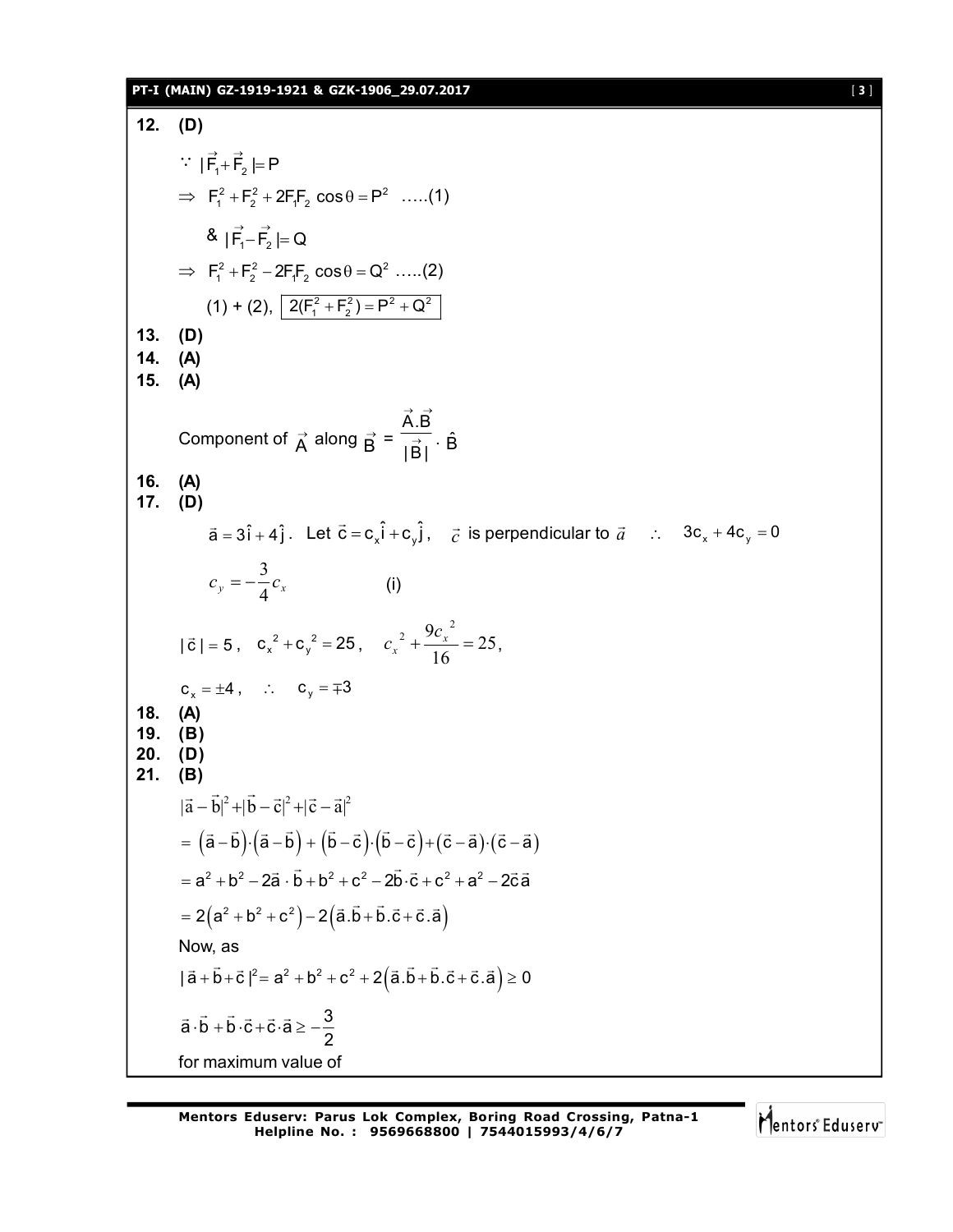# **PT-I (MAIN) GZ-1919-1921 & GZK-1906\_29.07.2017** [ **3** ]

12. (D)  
\n
$$
\begin{vmatrix}\n\vec{F}_1 + \vec{F}_2 = P \\
\Rightarrow F_1^2 + F_2^2 + 2F_1F_2 \cos\theta = P^2 \quad ....(1) \\
\& \|\vec{F}_1 - \vec{F}_2^2 = Q\n\end{vmatrix}
$$
\n
$$
\Rightarrow F_1^2 + F_2^2 - 2F_1F_2 \cos\theta = Q^2 \quad ....(2)
$$
\n
$$
(1) + (2), \frac{2(F_1^2 + F_2^2) = P^2 + Q^2}{2}
$$
\n13. (D)  
\n14. (A)  
\n15. (A)  
\nComponent of  $\vec{A}$  along  $\vec{B} = \frac{\vec{A} \cdot \vec{B}}{|\vec{B}|} \cdot \hat{B}$   
\n16. (A)  
\n17. (D)  
\n $\vec{a} = 3\hat{i} + 4\hat{j}$ . Let  $\vec{c} = c_x\hat{i} + c_y\hat{j}$ ,  $\vec{c}$  is perpendicular to  $\vec{a}$  ∴  $3c_x + 4c_y = 0$   
\n $c_y = -\frac{3}{4}c_y$  (i)  
\n $|\vec{c}| = 5$ ,  $c_x^2 + c_y^2 = 25$ ,  $c_x^2 + \frac{9c_x^2}{16} = 25$ ,  
\n $c_x = \pm 4$ , ∴  $c_y = \mp 3$   
\n19. (B)  
\n20. (D)  
\n21. (B)  
\n $|\vec{a} - \vec{b}|^2 + |\vec{b} - \vec{c}|^2 + |\vec{c} - \vec{a}|^2$   
\n $= (a-\vec{b}) \cdot (a-\vec{b}) + (b-\vec{c}) \cdot (b-\vec{c}) + (\vec{c}-\vec{a}) \cdot (\vec{c}-\vec{a})$   
\n $= a^2 + b^2 - 2\vec{a} \cdot \vec{b} + b^2 + c^2 - 2\vec{b} \cdot \vec{c} + c^2 + a^2 - 2\vec{c}\vec{a}$   
\n $= 2(a^2 + b^2 + c^2) - 2(\vec{a} \cdot \vec{b} + \vec{b} \cdot \vec{c} + \vec{c} \cdot \vec{$ 

Mentors<sup>e</sup> Eduserv<sup>-</sup>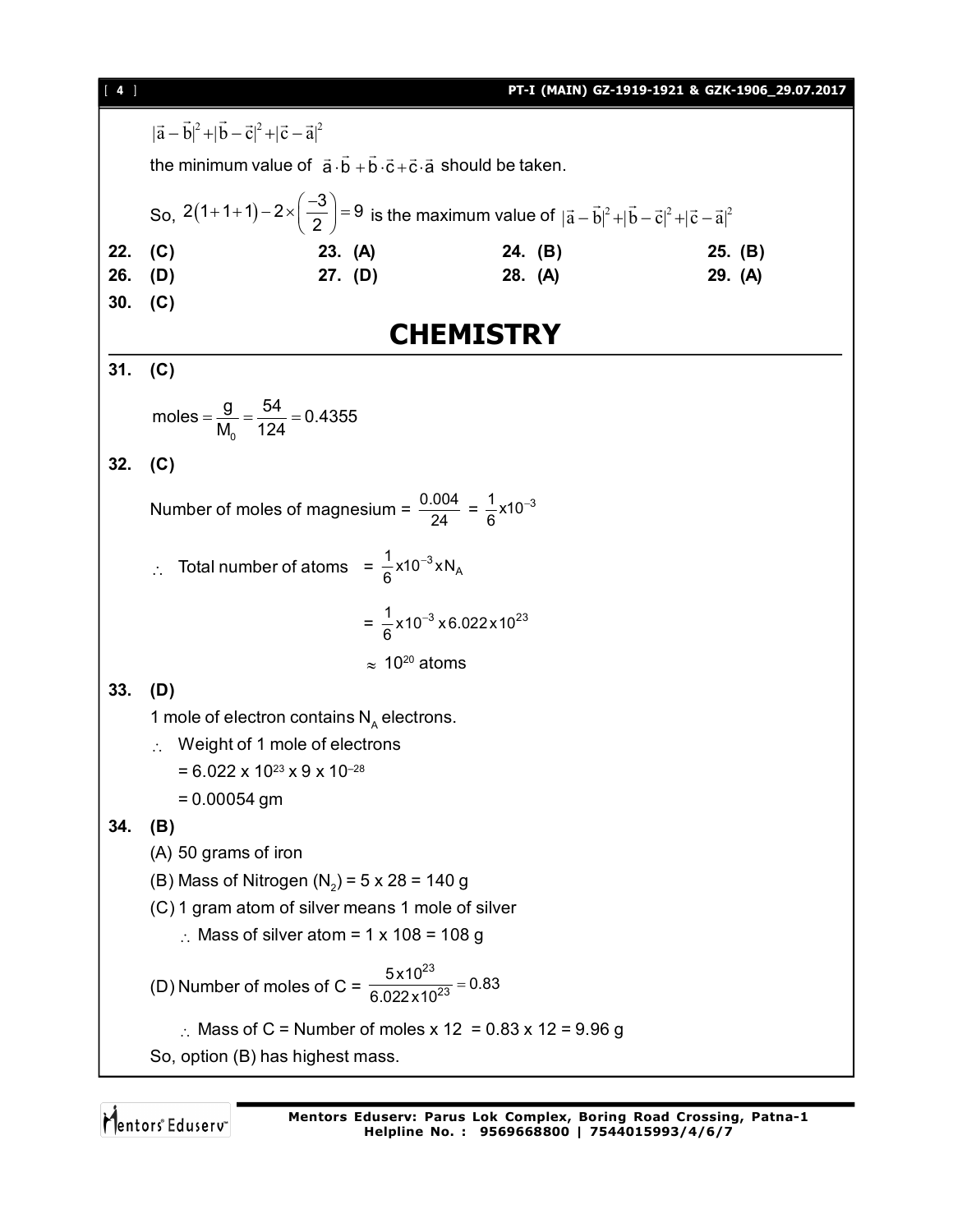| $[4]$ | PT-I (MAIN) GZ-1919-1921 & GZK-1906_29.07.2017                                                                                          |  |  |  |  |  |
|-------|-----------------------------------------------------------------------------------------------------------------------------------------|--|--|--|--|--|
|       | $ \vec{a}-\vec{b} ^2+ \vec{b}-\vec{c} ^2+ \vec{c}-\vec{a} ^2$                                                                           |  |  |  |  |  |
|       | the minimum value of $\vec{a} \cdot \vec{b} + \vec{b} \cdot \vec{c} + \vec{c} \cdot \vec{a}$ should be taken.                           |  |  |  |  |  |
|       | So, $2(1+1+1)-2\times\left(\frac{-3}{2}\right)=9$ is the maximum value of $ \vec{a}-\vec{b} ^2+ \vec{b}-\vec{c} ^2+ \vec{c}-\vec{a} ^2$ |  |  |  |  |  |
| 22.   | (C)<br>23. (A)<br>24. (B)<br>25. (B)                                                                                                    |  |  |  |  |  |
| 26.   | $27.$ (D)<br>(D)<br>28. (A)<br>29. (A)                                                                                                  |  |  |  |  |  |
| 30.   | (C)                                                                                                                                     |  |  |  |  |  |
|       | <b>CHEMISTRY</b>                                                                                                                        |  |  |  |  |  |
| 31.   | (C)                                                                                                                                     |  |  |  |  |  |
|       | moles = $\frac{9}{M_0}$ = $\frac{54}{124}$ = 0.4355                                                                                     |  |  |  |  |  |
| 32.   | (C)                                                                                                                                     |  |  |  |  |  |
|       | Number of moles of magnesium = $\frac{0.004}{24} = \frac{1}{6} \times 10^{-3}$                                                          |  |  |  |  |  |
|       | Total number of atoms = $\frac{1}{6}$ x10 <sup>-3</sup> xN <sub>A</sub>                                                                 |  |  |  |  |  |
|       | = $\frac{1}{6}$ x 10 <sup>-3</sup> x 6.022 x 10 <sup>23</sup>                                                                           |  |  |  |  |  |
|       | $\approx 10^{20}$ atoms                                                                                                                 |  |  |  |  |  |
| 33.   | (D)                                                                                                                                     |  |  |  |  |  |
|       | 1 mole of electron contains $N_A$ electrons.                                                                                            |  |  |  |  |  |
|       | Weight of 1 mole of electrons                                                                                                           |  |  |  |  |  |
|       | $= 6.022 \times 10^{23} \times 9 \times 10^{-28}$                                                                                       |  |  |  |  |  |
|       | $= 0.00054$ gm                                                                                                                          |  |  |  |  |  |
| 34.   | (B)                                                                                                                                     |  |  |  |  |  |
|       | (A) 50 grams of iron                                                                                                                    |  |  |  |  |  |
|       | (B) Mass of Nitrogen $(N_2)$ = 5 x 28 = 140 g                                                                                           |  |  |  |  |  |
|       | (C) 1 gram atom of silver means 1 mole of silver                                                                                        |  |  |  |  |  |
|       | : Mass of silver atom = $1 \times 108 = 108$ g                                                                                          |  |  |  |  |  |
|       | (D) Number of moles of C = $\frac{5 \times 10^{23}}{6.022 \times 10^{23}}$ = 0.83                                                       |  |  |  |  |  |
|       | : Mass of C = Number of moles x 12 = 0.83 x 12 = 9.96 g                                                                                 |  |  |  |  |  |
|       | So, option (B) has highest mass.                                                                                                        |  |  |  |  |  |
|       |                                                                                                                                         |  |  |  |  |  |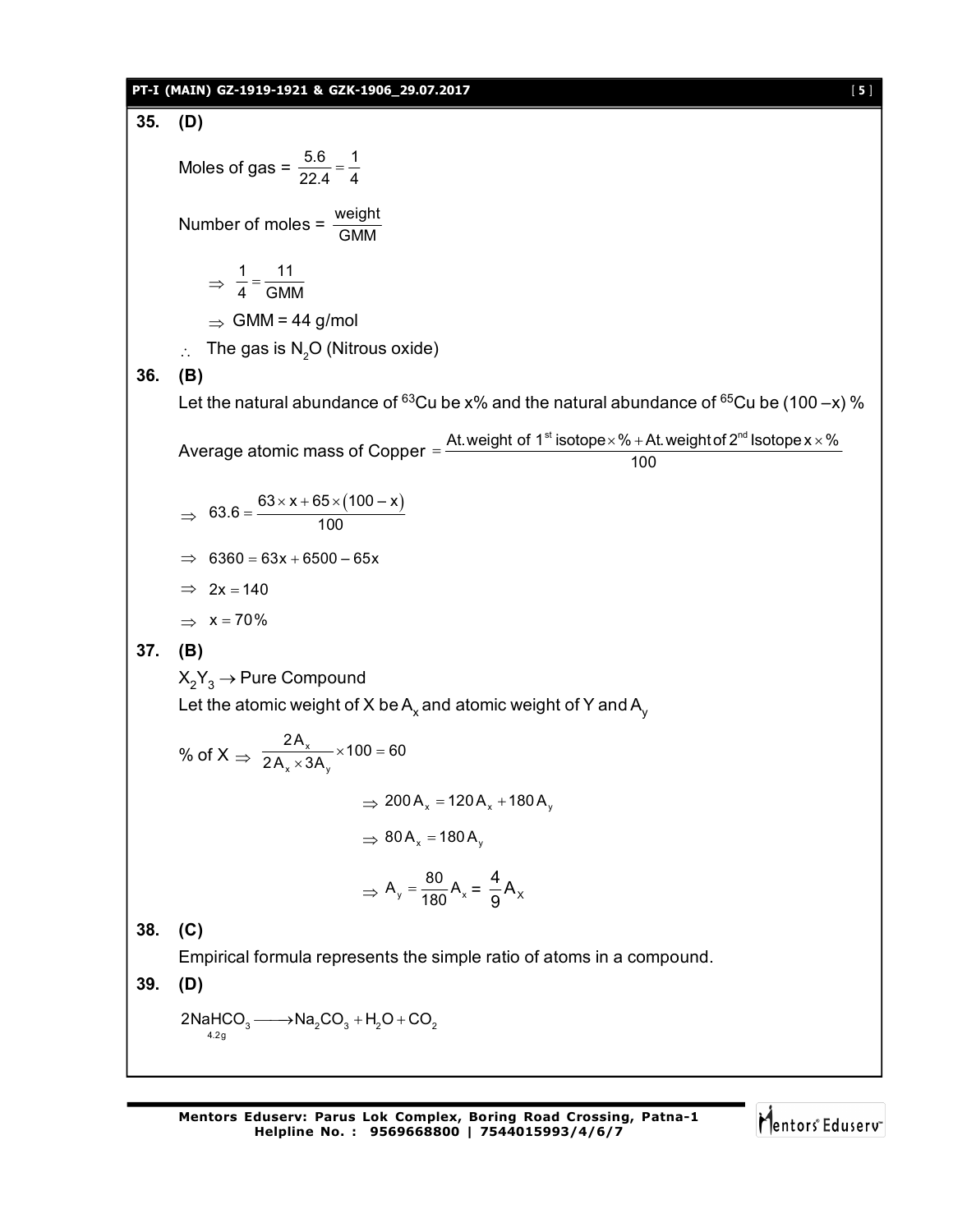# **PT-I (MAIN) GZ-1919-1921 & GZK-1906\_29.07.2017** [ **5** ]

35. (D)  
\nMoles of gas = 
$$
\frac{5.6}{22.4} = \frac{1}{4}
$$
  
\nNumber of moles =  $\frac{\text{weight}}{\text{GMM}}$   
\n⇒  $\frac{1}{4} = \frac{111}{61 \text{M}}$   
\n⇒ GMM = 44 g/mol  
\n∴ The gas is N<sub>2</sub>O (Nitrous oxide)  
\n36. (B)  
\nLet the natural abundance of <sup>63</sup>Cu be x% and the natural abundance of <sup>65</sup>Cu be (100-x) %  
\nAverage atomic mass of Copper =  $\frac{\text{At weight of 1}^{\text{st}}\text{isotope}\times\%+\text{At weight of 2}^{\text{st}}\text{isotope}\times\times\%}{100}$   
\n⇒  $63.6 = \frac{63 \times x + 65 \times (100 - x)}{100}$   
\n⇒  $63.6 = 63x + 6500 - 65x$   
\n⇒  $2x = 140$   
\n⇒  $x = 70\%$   
\n37. (B)  
\n $X_2Y_3 \rightarrow$  Pure Compound  
\nLet the atomic weight of X be A<sub>x</sub> and atomic weight of Y and A<sub>y</sub>  
\n% of X ⇒  $\frac{2A_x}{2A_x \times 3A_y} \times 100 = 60$   
\n⇒  $200A_x = 120A_x + 180A_y$   
\n⇒  $80A_x = 180A_y$   
\n⇒  $A_y = \frac{80}{180}A_z = \frac{4}{9}A_x$   
\n38. (C)  
\nEmpirical formula represents the simple ratio of atoms in a compound.  
\n39. (D)  
\n2Na+ICO<sub>3</sub> → Na<sub>2</sub>CO<sub>3</sub> + H<sub>2</sub>O + CO<sub>2</sub>

Mentors<sup>e</sup> Eduserv<sup>-</sup>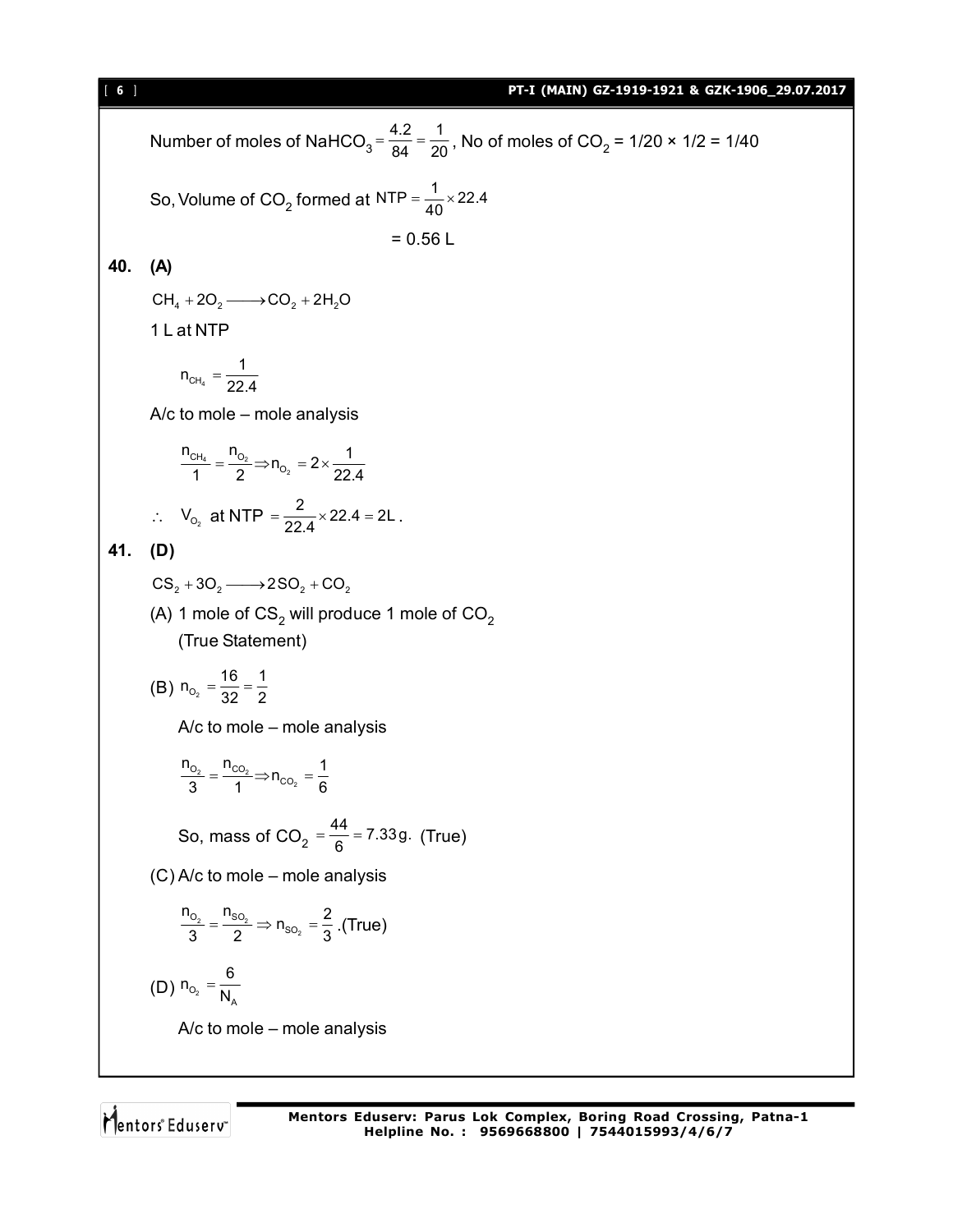Number of moles of NaHCO<sub>3</sub> =  $\frac{4.2}{84}$  =  $\frac{1}{20}$  $=$   $\frac{12}{84}$  =  $\frac{1}{20}$ , No of moles of CO<sub>2</sub> = 1/20 × 1/2 = 1/40 So, Volume of CO<sub>2</sub> formed at NTP =  $\frac{1}{40}$  × 22.4  $= 0.56 L$ **40. (A)**  $CH_4 + 2O_2 \longrightarrow CO_2 + 2H_2O$ 1 L at NTP  $CH<sub>4</sub>$  $n_{\text{CH}_4} = \frac{1}{22.4}$ A/c to mole – mole analysis  $4 - 92$ 2  $CH_4$   $"O$ O  $\frac{n_{\text{CH}_4}}{1} = \frac{n_{\text{O}_2}}{2}$   $\Rightarrow$   $n_{\text{O}_2} = 2 \times \frac{1}{22.4}$ :.  $V_{0_2}$  at NTP  $=\frac{2}{22.4} \times 22.4 = 2L$ . **41. (D)**  $CS_2 + 3O_2 \longrightarrow 2SO_2 + CO_2$ (A) 1 mole of  $\text{CS}_2$  will produce 1 mole of  $\text{CO}_2$ (True Statement) (B)  $n_{O_2} = \frac{16}{32} = \frac{1}{2}$ A/c to mole – mole analysis  $2 - 0$ 2 0<sub>2</sub> ''CO  $\frac{n_{O_2}}{3} = \frac{n_{CO_2}}{1}$   $\Rightarrow$   $n_{CO_2} = \frac{1}{6}$ So, mass of CO<sub>2</sub> =  $\frac{44}{6}$  = 7.33g. (True) (C) A/c to mole – mole analysis  $2 - 0$ <sup>2</sup> 2 0, ''so  $\frac{n_{O_2}}{3} = \frac{n_{SO_2}}{2} \Rightarrow n_{SO_2} = \frac{2}{3}$ . (True) (D)  $n_{O_2} = \frac{1}{N_A}$  $n_{_{\rm O_2}} = \frac{6}{N_{\rm p}}$ A/c to mole – mole analysis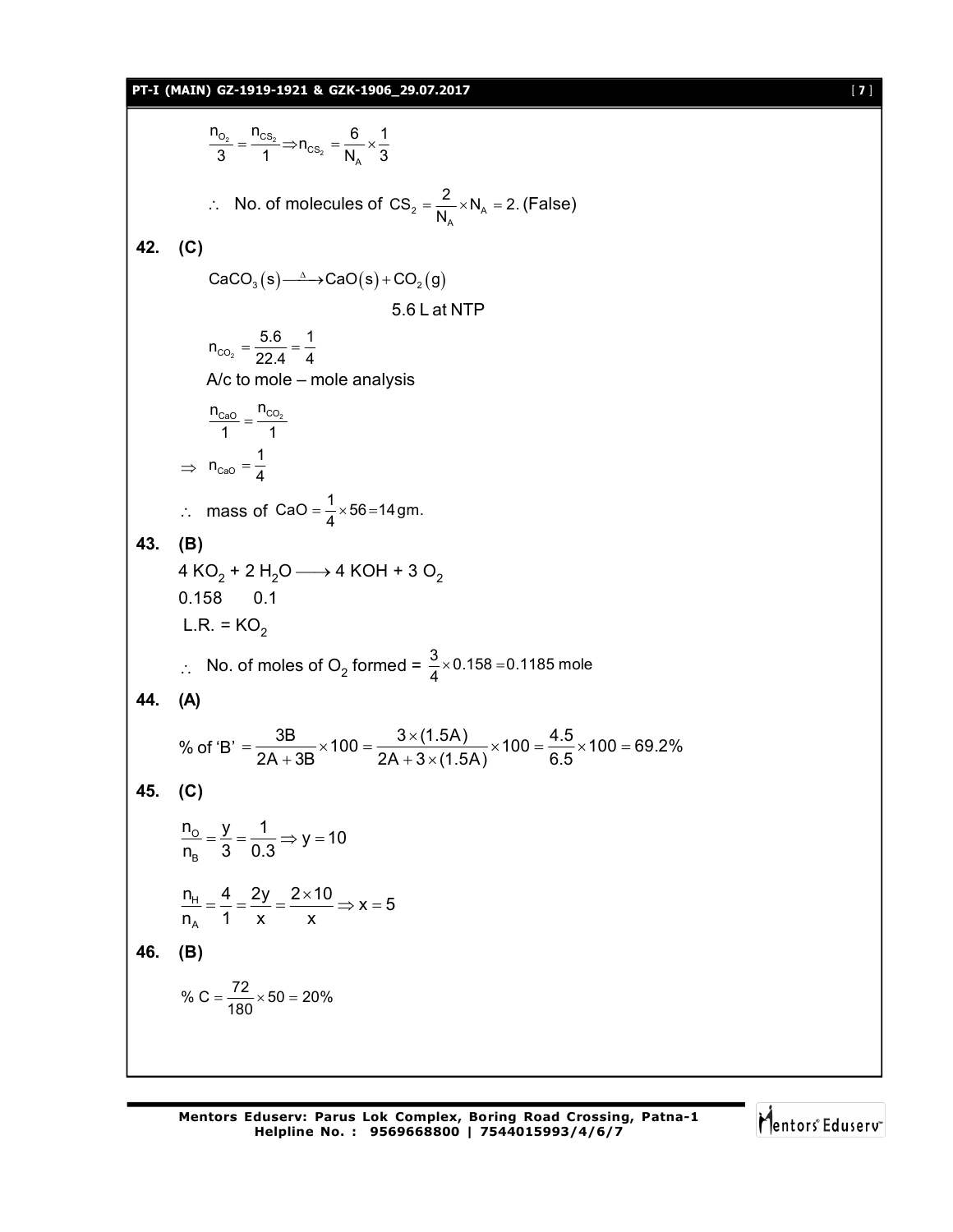# **PT-I (MAIN) GZ-1919-1921 & GZK-1906\_29.07.2017** [ **7** ]

2 \_ UO<sub>2</sub> 2  $O<sub>2</sub>$   $^{\prime}$  'CS  $\overline{\text{cs}}_2$   $\overline{\text{N}}_{\text{A}}$  $\frac{n_{O_2}}{3} = \frac{n_{CS_2}}{1} \Rightarrow n_{CS_2} = \frac{6}{N_A} \times \frac{1}{3}$  $\therefore$  No. of molecules of CS<sub>2</sub> =  $\frac{2}{N_A} \times N_A$  $\text{CS}_2 = \frac{2}{N_\text{A}} \times N_\text{A} = 2.$  (False) **42. (C)**  $CaCO<sub>3</sub>(s) \longrightarrow CaO(s) + CO<sub>2</sub>(g)$ 5.6 L at NTP  $\mathsf{CO_2}$  $n_{CO_2} = \frac{5.6}{22.4} = \frac{1}{4}$ A/c to mole – mole analysis  $n_{\text{CaO}}$   $n_{\text{CO}_2}$  $\frac{2a0}{1} = \frac{100}{1}$  $\Rightarrow$   $n_{\text{CaO}}$  $n_{\text{caO}} = \frac{1}{4}$  $\therefore$  mass of CaO =  $\frac{1}{4} \times 56 = 14$ gm. **43. (B)** 4 KO $_2$  + 2 H $_2$ O —  $\rightarrow$  4 KOH + 3 O $_2$ 0.158 0.1  $L.R. = KO<sub>2</sub>$  $\therefore$  No. of moles of O<sub>2</sub> formed =  $\frac{3}{4} \times 0.158 = 0.1185$  mole **44. (A)** % of 'B' =  $\frac{3B}{2A + 3B} \times 100 = \frac{3 \times (1.5A)}{2A + 3 \times (1.5A)} \times 100 = \frac{4.5}{6.5} \times 100 = 69.2\%$  $=\frac{3B}{24.00} \times 100 = \frac{3 \times (1.5A)}{24.0} \times 100 = \frac{4.5}{2.5} \times 100 = 6$  $+3B$  2A + 3  $\times$  ( **45. (C)**  $\overline{\mathrm{o}}$ B  $\frac{n_o}{n} = \frac{y}{2} = \frac{1}{20} \Rightarrow y = 10$ n<sub>B</sub> 3 0.3  $=\frac{y}{2}=\frac{y}{2} \Rightarrow y=$ H A  $n_{\rm H} = \frac{4}{1} = \frac{2y}{1} = \frac{2 \times 10}{1} \Rightarrow x = 5$  $n_A$  1 x x  $=\frac{4}{4}=\frac{2y}{4}=\frac{2\times10}{3} \Rightarrow x=5$ **46. (B)** % C =  $\frac{72}{180} \times 50 = 20\%$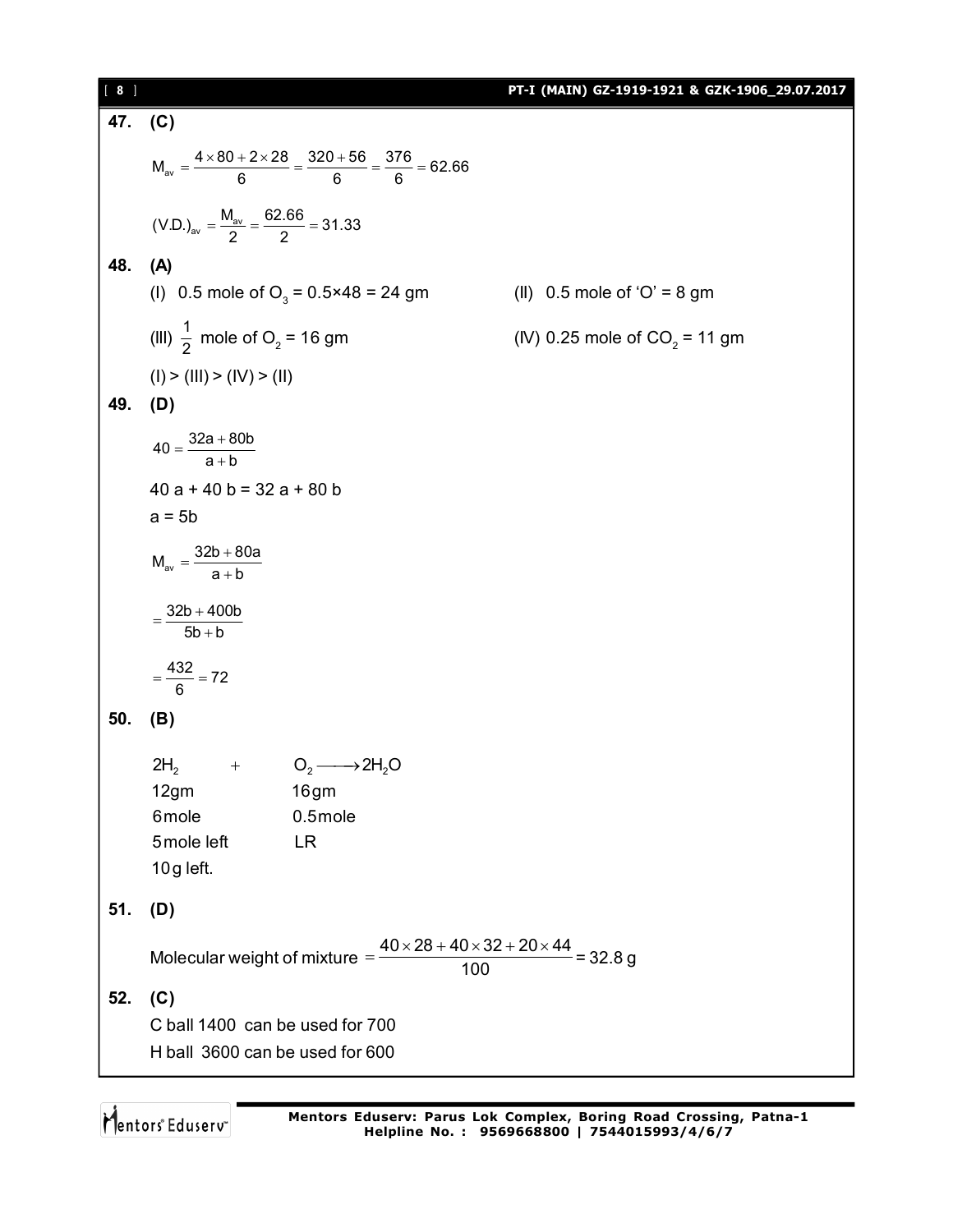| $[ 8 ]$ |                                                                                                                                 | PT-I (MAIN) GZ-1919-1921 & GZK-1906_29.07.2017 |
|---------|---------------------------------------------------------------------------------------------------------------------------------|------------------------------------------------|
| 47. (C) |                                                                                                                                 |                                                |
|         | $M_{av} = \frac{4 \times 80 + 2 \times 28}{6} = \frac{320 + 56}{6} = \frac{376}{6} = 62.66$                                     |                                                |
|         | $(V.D.)av = \frac{M_{av}}{2} = \frac{62.66}{2} = 31.33$                                                                         |                                                |
| 48.     | (A)<br>(1) 0.5 mole of O <sub>3</sub> = $0.5 \times 48 = 24$ gm                                                                 | (II) $0.5$ mole of 'O' = 8 gm                  |
|         | (III) $\frac{1}{2}$ mole of O <sub>2</sub> = 16 gm                                                                              | (IV) 0.25 mole of $CO_2 = 11$ gm               |
|         | (I) > (III) > (IV) > (II)                                                                                                       |                                                |
| 49.     | (D)                                                                                                                             |                                                |
|         | $40 = \frac{32a + 80b}{a + b}$                                                                                                  |                                                |
|         | $40a + 40b = 32a + 80b$                                                                                                         |                                                |
|         | $a = 5b$                                                                                                                        |                                                |
|         | $M_{av} = \frac{32b + 80a}{a + b}$                                                                                              |                                                |
|         | $=\frac{32b+400b}{5b+b}$                                                                                                        |                                                |
|         | $=\frac{432}{6}=72$                                                                                                             |                                                |
| 50.     | (B)                                                                                                                             |                                                |
|         | + $O_2 \longrightarrow 2H_2O$<br>2H <sub>2</sub><br>12gm<br>16gm<br>6mole<br>$0.5$ mole<br>5mole left<br><b>LR</b><br>10g left. |                                                |
| 51.     | (D)                                                                                                                             |                                                |
|         | Molecular weight of mixture $=\frac{40\times28+40\times32+20\times44}{400}$ = 32.8 g<br>100                                     |                                                |
| 52.     | (C)                                                                                                                             |                                                |
|         | C ball 1400 can be used for 700<br>H ball 3600 can be used for 600                                                              |                                                |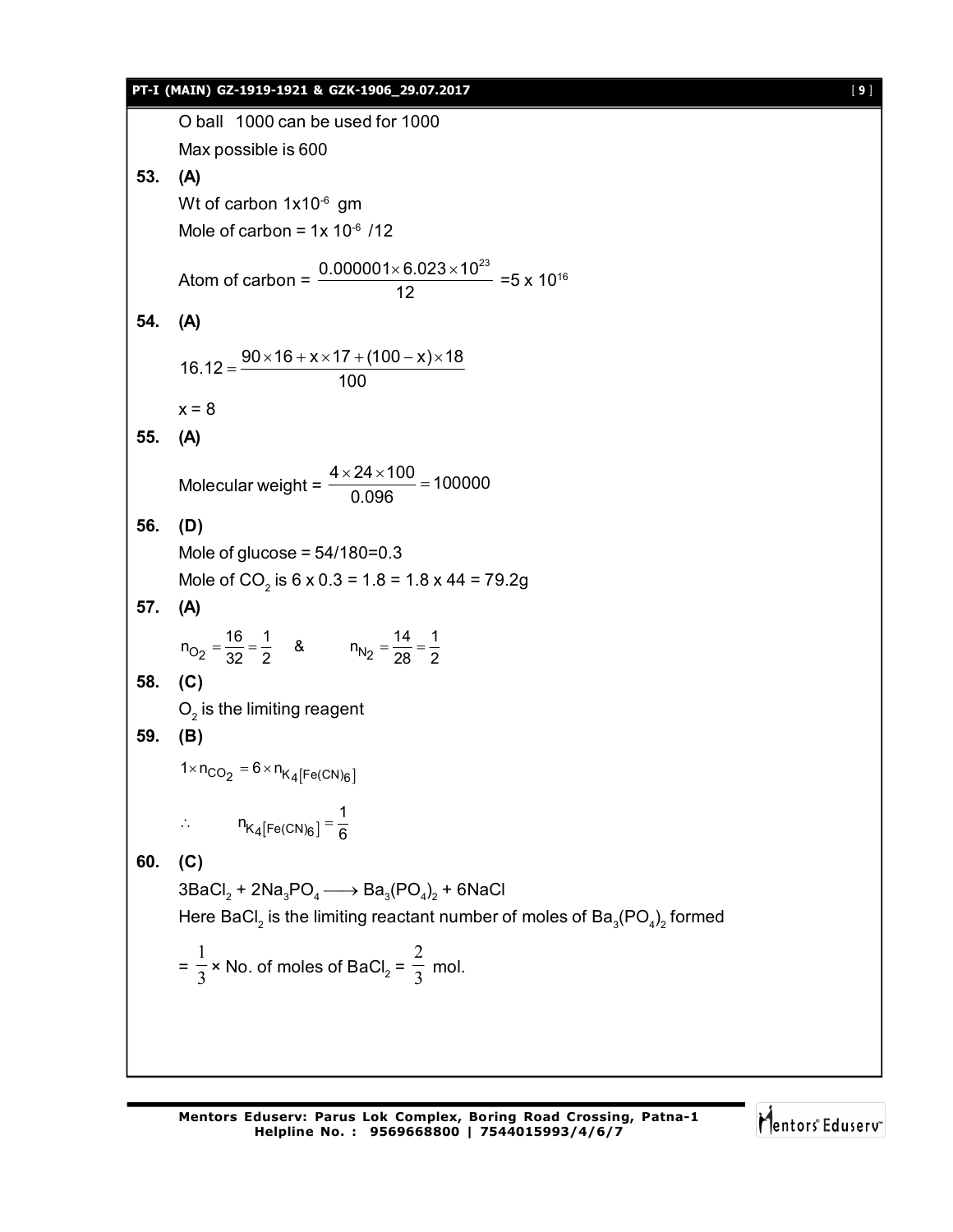# **PT-I (MAIN) GZ-1919-1921 & GZK-1906\_29.07.2017** [ **9** ] O ball 1000 can be used for 1000 Max possible is 600 **53. (A)** Wt of carbon 1x10<sup>-6</sup> gm Mole of carbon =  $1x 10^{-6}$  /12 Atom of carbon =  $\frac{0.000001 \times 6.023 \times 10^{23}}{43}$ 12  $\frac{\times 6.023 \times 10^{23}}{42}$  =5 x 10<sup>16</sup> **54. (A)**  $16.12 = \frac{90 \times 16 + x \times 17 + (100 - x) \times 18}{100}$ 100  $=\frac{90\times16+x\times17+(100-x)\times1}{100}$  $x = 8$ **55. (A)** Molecular weight =  $\frac{4 \times 24 \times 100}{0.0000}$  = 100000 0.096  $\frac{\times 24 \times 100}{200} =$ **56. (D)** Mole of glucose =  $54/180=0.3$ Mole of CO<sub>2</sub> is 6 x 0.3 = 1.8 = 1.8 x 44 = 79.2g **57. (A)**  $n_{O_2} = \frac{16}{32} = \frac{1}{2}$  &  $n_{N_2} = \frac{14}{28} = \frac{1}{2}$ **58. (C)**  $\mathrm{O}_2$  is the limiting reagent **59. (B)**  $1 \times n_{CO_2} = 6 \times n_{K_4[Fe(CN)_6]}$  $\mathsf{K}_4[\mathsf{Fe}(\mathsf{CN})_6]$ ∴  $n_{K_4[Fe(CN)_6]} = \frac{1}{6}$ **60. (C)**  $3\mathsf{BaCl}_2 + 2\mathsf{Na}_3\mathsf{PO}_4 \longrightarrow \mathsf{Ba}_3(\mathsf{PO}_4)_2 + 6\mathsf{NaCl}_2$ Here BaCl $_2$  is the limiting reactant number of moles of Ba $_{\tiny 3}$ (PO $_{\tiny 4})_{\tiny 2}$  formed  $=\frac{1}{3}$ 1 × No. of moles of BaCl<sub>2</sub> =  $\frac{1}{3}$ 2 mol.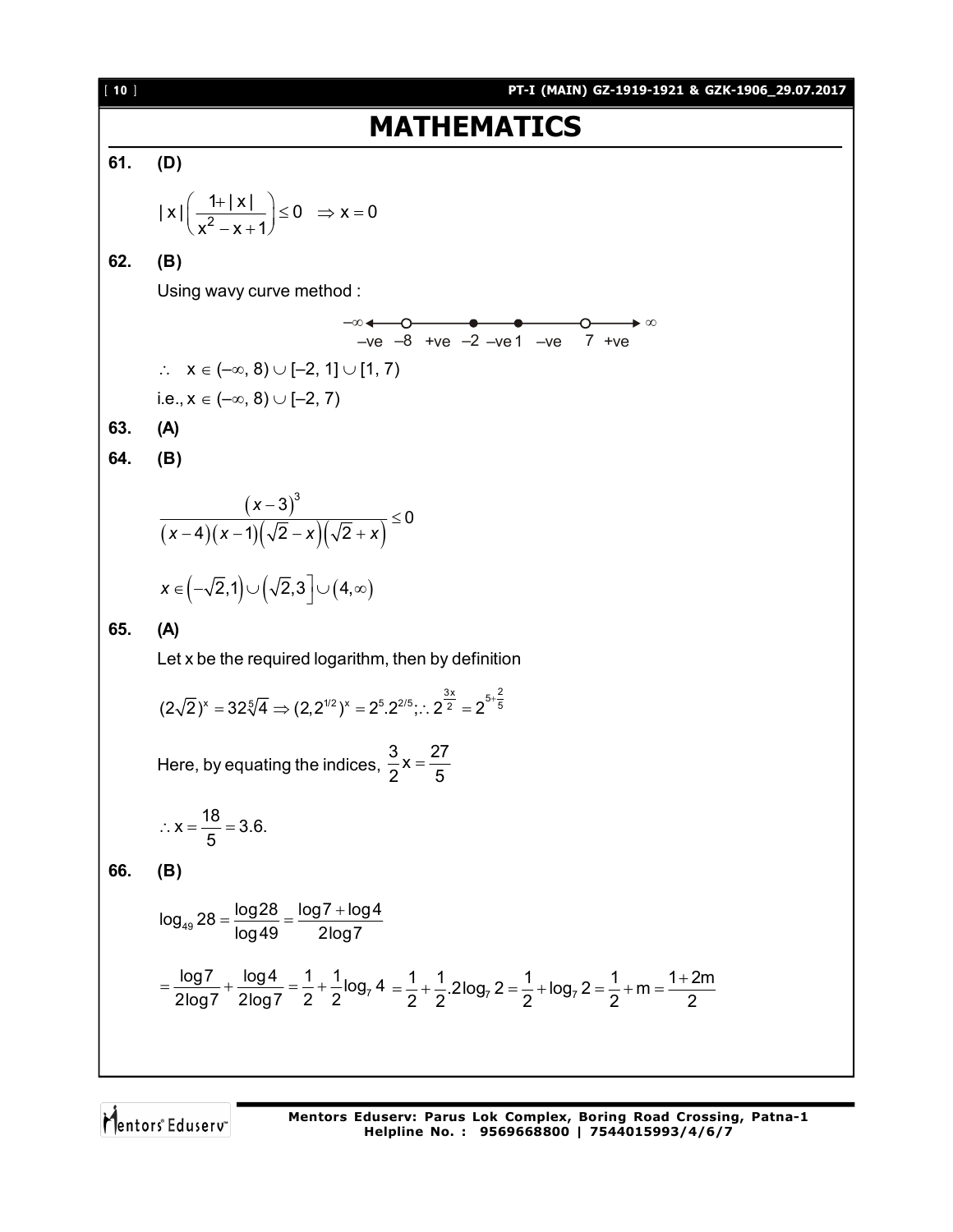**161 MATHEMATICS**  
\n61. (D)  
\n
$$
|x| \left( \frac{1+|x|}{x^2-x+1} \right) \le 0 \Rightarrow x = 0
$$
  
\n62. (B)  
\nUsing wavy curve method :  
\n $-x \leftarrow -8 + ve^{-2} -ve^{-2} -ve^{-2} -ve^{-2} +ve^{-2}$   
\n $\therefore x \in (-\infty, 8) \cup [-2, 1] \cup [1, 7)$   
\ni.e.,  $x \in (-\infty, 8) \cup [-2, 7]$   
\n63. (A)  
\n64. (B)  
\n $\frac{(x-3)^3}{(x-4)(x-1)(\sqrt{2}-x)(\sqrt{2}+x)} \le 0$   
\n $x \in (-\sqrt{2}, 1) \cup (\sqrt{2}, 3] \cup (4, \infty)$   
\n65. (A)  
\nLet x be the required logarithm, then by definition  
\n $(2\sqrt{2})^x = 32\sqrt[5]{4} \Rightarrow (2, 2^{12})^x = 2^{8} \cdot 2^{16} \cdot 2^{28} \cdot 2^{8} \cdot 2^{8} \cdot 2^{8} \cdot 2^{8} \cdot 2^{8} \cdot 2^{8} \cdot 2^{8} \cdot 2^{8} \cdot 2^{8} \cdot 2^{8} \cdot 2^{8} \cdot 2^{8} \cdot 2^{8} \cdot 2^{8} \cdot 2^{8} \cdot 2^{8} \cdot 2^{8} \cdot 2^{8} \cdot 2^{8} \cdot 2^{8} \cdot 2^{8} \cdot 2^{8} \cdot 2^{8} \cdot 2^{8} \cdot 2^{8} \cdot 2^{8} \cdot 2^{8} \cdot 2^{8} \cdot 2^{8} \cdot 2^{8} \cdot 2^{8} \cdot 2^{8} \cdot 2^{8} \cdot 2^{8} \cdot 2^{8} \cdot 2^{8} \cdot 2^{8} \cdot 2^{8} \cdot 2^{8} \cdot 2^{8} \cdot 2^{8} \cdot 2^{8} \cdot 2^{8} \cdot 2^{8} \cdot 2^{8} \cdot 2^{8} \cdot 2^{8} \cdot 2^{8} \cdot 2^{8} \cdot 2^{8} \cdot 2^{8} \cdot 2^{8} \cdot 2^{8} \cdot 2^{8} \cdot 2^{8} \cdot$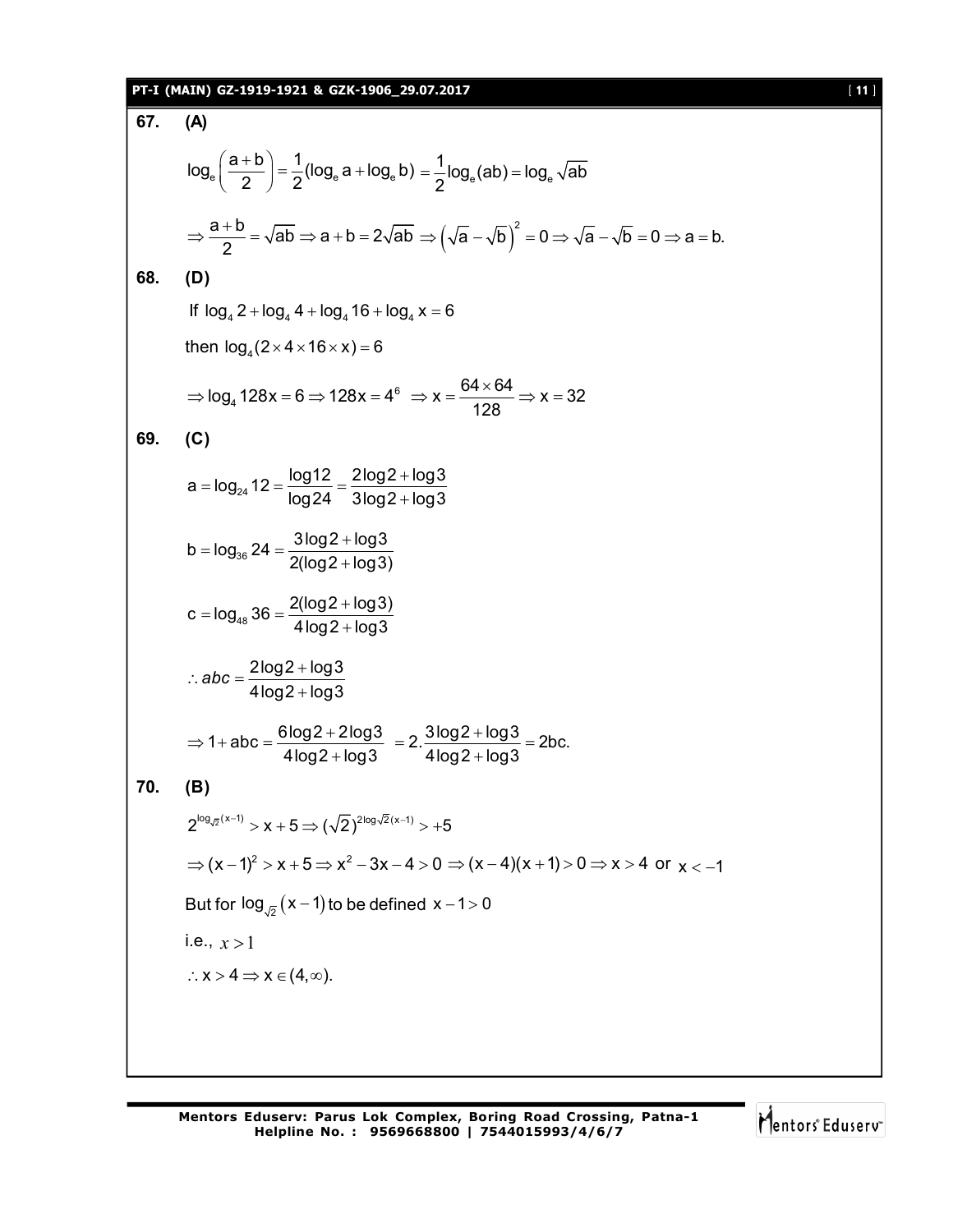# **PT-I (MAIN) GZ-1919-1921 & GZK-1906\_29.07.2017** [ **11** ]

| 67.                                                   | (A)                                                                                                                                                                 |  |  |
|-------------------------------------------------------|---------------------------------------------------------------------------------------------------------------------------------------------------------------------|--|--|
|                                                       | $\log_e\left(\frac{a+b}{2}\right)=\frac{1}{2}(\log_e a+\log_e b)=\frac{1}{2}\log_e (ab)=\log_e \sqrt{ab}$                                                           |  |  |
|                                                       | $\Rightarrow \frac{a+b}{2} = \sqrt{ab} \Rightarrow a+b = 2\sqrt{ab} \Rightarrow (\sqrt{a} - \sqrt{b})^2 = 0 \Rightarrow \sqrt{a} - \sqrt{b} = 0 \Rightarrow a = b.$ |  |  |
| 68.                                                   | (D)<br>If $\log_4 2 + \log_4 4 + \log_4 16 + \log_4 x = 6$                                                                                                          |  |  |
|                                                       |                                                                                                                                                                     |  |  |
| then $log4(2\times4\times16\times x) = 6$             |                                                                                                                                                                     |  |  |
|                                                       | $\Rightarrow$ log <sub>4</sub> 128x = 6 $\Rightarrow$ 128x = 4 <sup>6</sup> $\Rightarrow$ x = $\frac{64 \times 64}{128}$ $\Rightarrow$ x = 32                       |  |  |
| 69.                                                   | (C)                                                                                                                                                                 |  |  |
|                                                       | $a = log_{24} 12 = \frac{log12}{log24} = \frac{2log2 + log3}{3log2 + log3}$                                                                                         |  |  |
|                                                       | $b = log_{36} 24 = \frac{3 log 2 + log 3}{2 (log 2 + log 3)}$                                                                                                       |  |  |
|                                                       | $c = log_{48} 36 = \frac{2(log2 + log3)}{4log2 + log3}$                                                                                                             |  |  |
|                                                       | $\therefore abc = \frac{2 \log 2 + \log 3}{4 \log 2 + \log 3}$                                                                                                      |  |  |
|                                                       | $\Rightarrow$ 1+ abc = $\frac{6\log 2 + 2\log 3}{4\log 2 + \log 3}$ = 2. $\frac{3\log 2 + \log 3}{4\log 2 + \log 3}$ = 2bc.                                         |  |  |
| 70.                                                   | (B)                                                                                                                                                                 |  |  |
|                                                       | $2^{\log_{\sqrt{2}}(x-1)} > x + 5 \Longrightarrow (\sqrt{2})^{2\log \sqrt{2}(x-1)} > +5$                                                                            |  |  |
|                                                       | $\Rightarrow$ $(x-1)^2 > x+5 \Rightarrow x^2-3x-4>0 \Rightarrow (x-4)(x+1) > 0 \Rightarrow x>4$ or $x<-1$                                                           |  |  |
| But for $\log_{\sqrt{2}} (x-1)$ to be defined $x-1>0$ |                                                                                                                                                                     |  |  |
|                                                       | i.e., $x > 1$                                                                                                                                                       |  |  |
|                                                       | $\therefore$ X > 4 $\Rightarrow$ X $\in$ (4, $\infty$ ).                                                                                                            |  |  |
|                                                       |                                                                                                                                                                     |  |  |
|                                                       |                                                                                                                                                                     |  |  |

Mentors<sup>e</sup> Eduserv<sup>-</sup>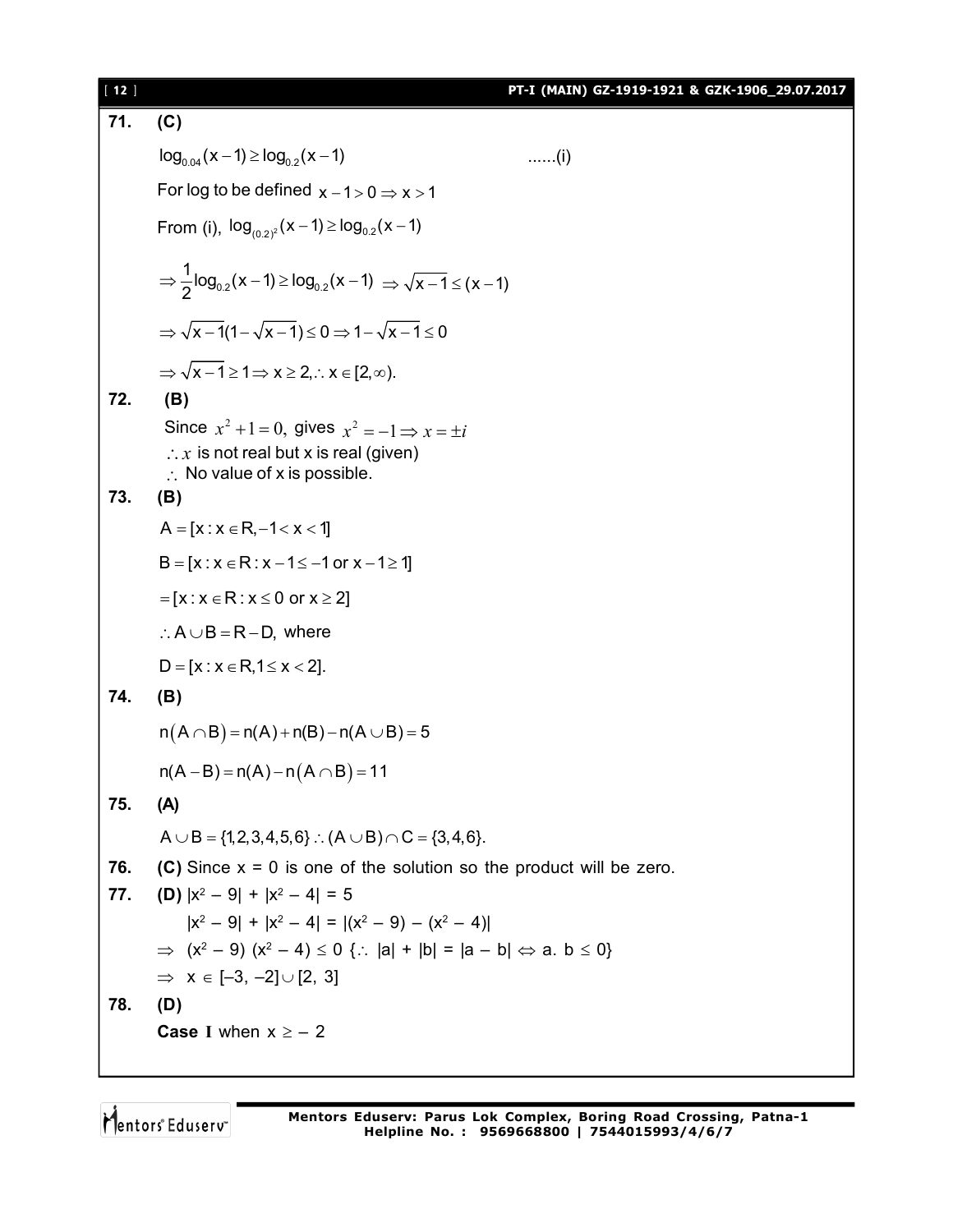| [12] |                                                                                                                                                                 | PT-I (MAIN) GZ-1919-1921 & GZK-1906_29.07.2017 |
|------|-----------------------------------------------------------------------------------------------------------------------------------------------------------------|------------------------------------------------|
| 71.  | (C)                                                                                                                                                             |                                                |
|      | $log_{0.04}(x-1) \ge log_{0.2}(x-1)$                                                                                                                            | $\ldots$ (i)                                   |
|      | For log to be defined $x - 1 > 0 \Rightarrow x > 1$                                                                                                             |                                                |
|      | From (i), $log_{(0.2)^2}(x-1) \ge log_{0.2}(x-1)$                                                                                                               |                                                |
|      | ⇒ $\frac{1}{2}$ log <sub>0.2</sub> (x – 1) ≥ log <sub>0.2</sub> (x – 1) ⇒ $\sqrt{x-1}$ ≤ (x – 1)                                                                |                                                |
|      | $\Rightarrow \sqrt{x-1}(1-\sqrt{x-1}) \leq 0 \Rightarrow 1-\sqrt{x-1} \leq 0$                                                                                   |                                                |
|      | $\Rightarrow \sqrt{x-1} \ge 1 \Rightarrow x \ge 2$ . $\therefore x \in [2, \infty)$ .                                                                           |                                                |
| 72.  | (B)                                                                                                                                                             |                                                |
|      | Since $x^2 + 1 = 0$ , gives $x^2 = -1 \Rightarrow x = \pm i$<br>$\therefore$ x is not real but x is real (given)<br>$\therefore$ No value of x is possible.     |                                                |
| 73.  | (B)                                                                                                                                                             |                                                |
|      | $A = [x : x \in R, -1 < x < 1]$                                                                                                                                 |                                                |
|      | $B = [x : x \in R : x - 1 \le -1 \text{ or } x - 1 \ge 1]$                                                                                                      |                                                |
|      | $=[x : x \in R : x \leq 0 \text{ or } x \geq 2]$                                                                                                                |                                                |
|      | $\therefore A \cup B = R - D$ , where                                                                                                                           |                                                |
|      | $D = [x : x \in R, 1 \le x < 2].$                                                                                                                               |                                                |
| 74.  | (B)                                                                                                                                                             |                                                |
|      | $n(A \cap B) = n(A) + n(B) - n(A \cup B) = 5$                                                                                                                   |                                                |
|      | $n(A - B) = n(A) - n(A \cap B) = 11$                                                                                                                            |                                                |
| 75.  | (A)                                                                                                                                                             |                                                |
|      | $A \cup B = \{1, 2, 3, 4, 5, 6\}$ : $(A \cup B) \cap C = \{3, 4, 6\}$ .                                                                                         |                                                |
| 76.  | (C) Since $x = 0$ is one of the solution so the product will be zero.                                                                                           |                                                |
| 77.  | <b>(D)</b> $ x^2 - 9  +  x^2 - 4  = 5$                                                                                                                          |                                                |
|      | $ x^{2}-9  +  x^{2}-4  =  (x^{2}-9) - (x^{2}-4) $<br>$\Rightarrow$ $(x^2 - 9) (x^2 - 4) \le 0$ $\therefore$ $ a  +  b  =  a - b  \Leftrightarrow a$ . $b \le 0$ |                                                |
|      | $\Rightarrow$ $x \in [-3, -2] \cup [2, 3]$                                                                                                                      |                                                |
| 78.  | (D)                                                                                                                                                             |                                                |
|      | <b>Case I</b> when $x \ge -2$                                                                                                                                   |                                                |
|      |                                                                                                                                                                 |                                                |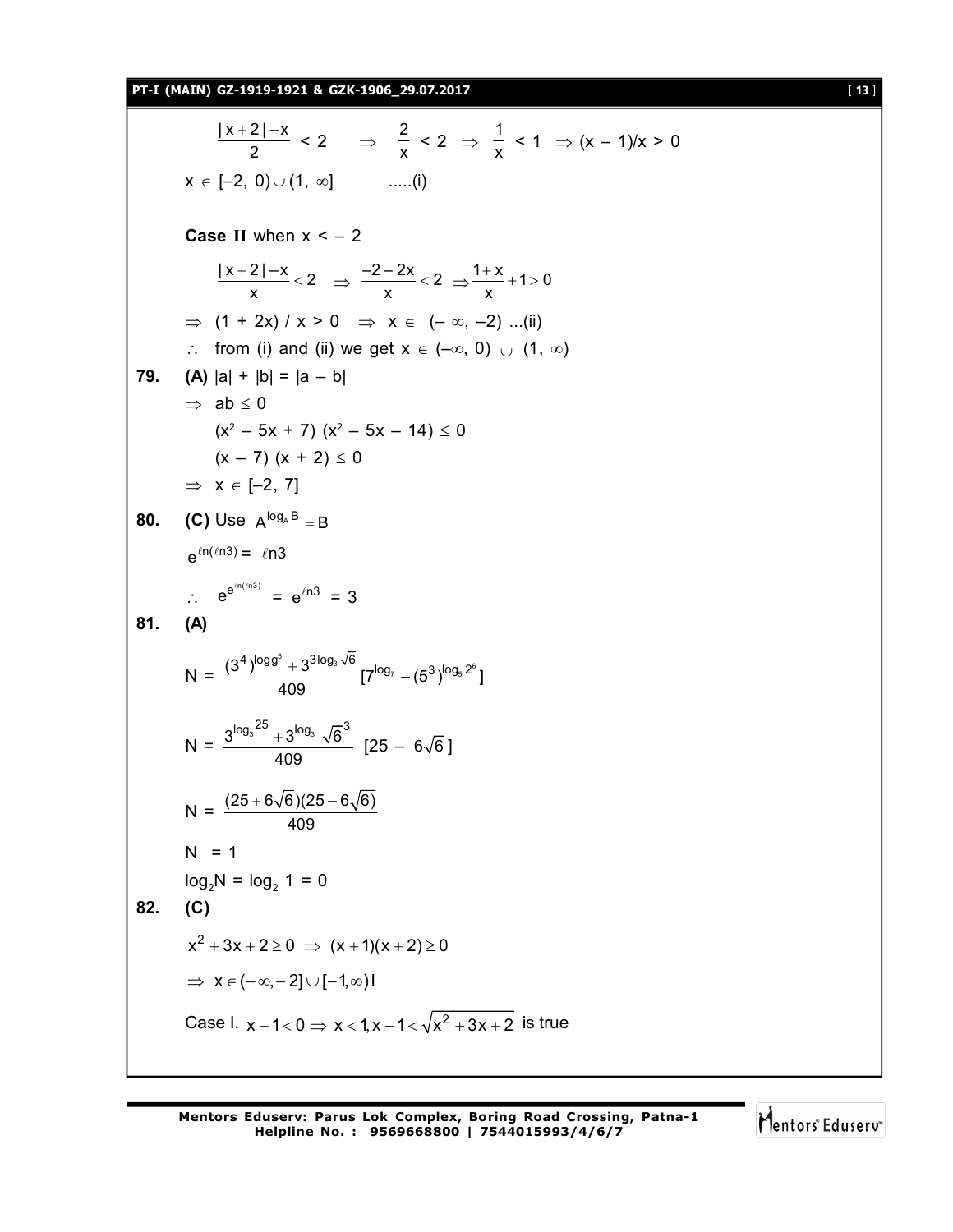$|x+2| - x$  $\frac{2|-x}{2}$  < 2  $\Rightarrow \frac{2}{x}$  $\frac{2}{x}$  < 2  $\Rightarrow$   $\frac{1}{x}$  $\frac{1}{x}$  < 1  $\Rightarrow$   $(x - 1)/x > 0$  $x \in [-2, 0) \cup (1, \infty]$  .....(i) **Case II** when  $x < -2$  $\frac{|x+2|-x}{2}<2$  $\frac{2|-x}{x}$  < 2  $\Rightarrow \frac{-2-2x}{x}$  < 2  $\frac{-2x}{x}$  < 2  $\Rightarrow \frac{1+x}{x}$  + 1 > 0 x  $\Rightarrow$  (1 + 2x) / x > 0  $\Rightarrow$  x  $\in$  (-  $\infty$ , -2) ...(ii)  $\therefore$  from (i) and (ii) we get  $x \in (-\infty, 0) \cup (1, \infty)$ **79. (A)**  $|a| + |b| = |a - b|$  $\Rightarrow$  ab  $\leq$  0  $(x^2 - 5x + 7)$   $(x^2 - 5x - 14) \le 0$  $(x - 7) (x + 2) \le 0$  $\Rightarrow$   $x \in [-2, 7]$ **80. (C)** Use  $A^{log_A B} = B$  $e^{\ln(\ln 3)} = \ln 3$  $\therefore e^{e^{in(n/3)}} = e^{ln3} = 3$ **81. (A)**  $N = \frac{(3^4)^{\log 9^5} + 3^{3\log_3 \sqrt{6}}}{\log 7} [7^{\log_7} - (5^3)^{\log_5 2^6}]$ 409  $N = \frac{3^{\log_3 25} + 3^{\log_3} \sqrt{6}^3}{125}$ 409  $[25 - 6\sqrt{6}]$  $N = \frac{(25 + 6\sqrt{6})(25 - 6\sqrt{6})}{409}$  $N = 1$  $log_2 N = log_2 1 = 0$ **82. (C)**  $x^2 + 3x + 2 \ge 0 \Rightarrow (x + 1)(x + 2) \ge 0$  $\Rightarrow$   $x \in (-\infty, -2] \cup [-1, \infty)$ Case I.  $x - 1 < 0 \Rightarrow x < 1, x - 1 < \sqrt{x^2 + 3x + 2}$  is true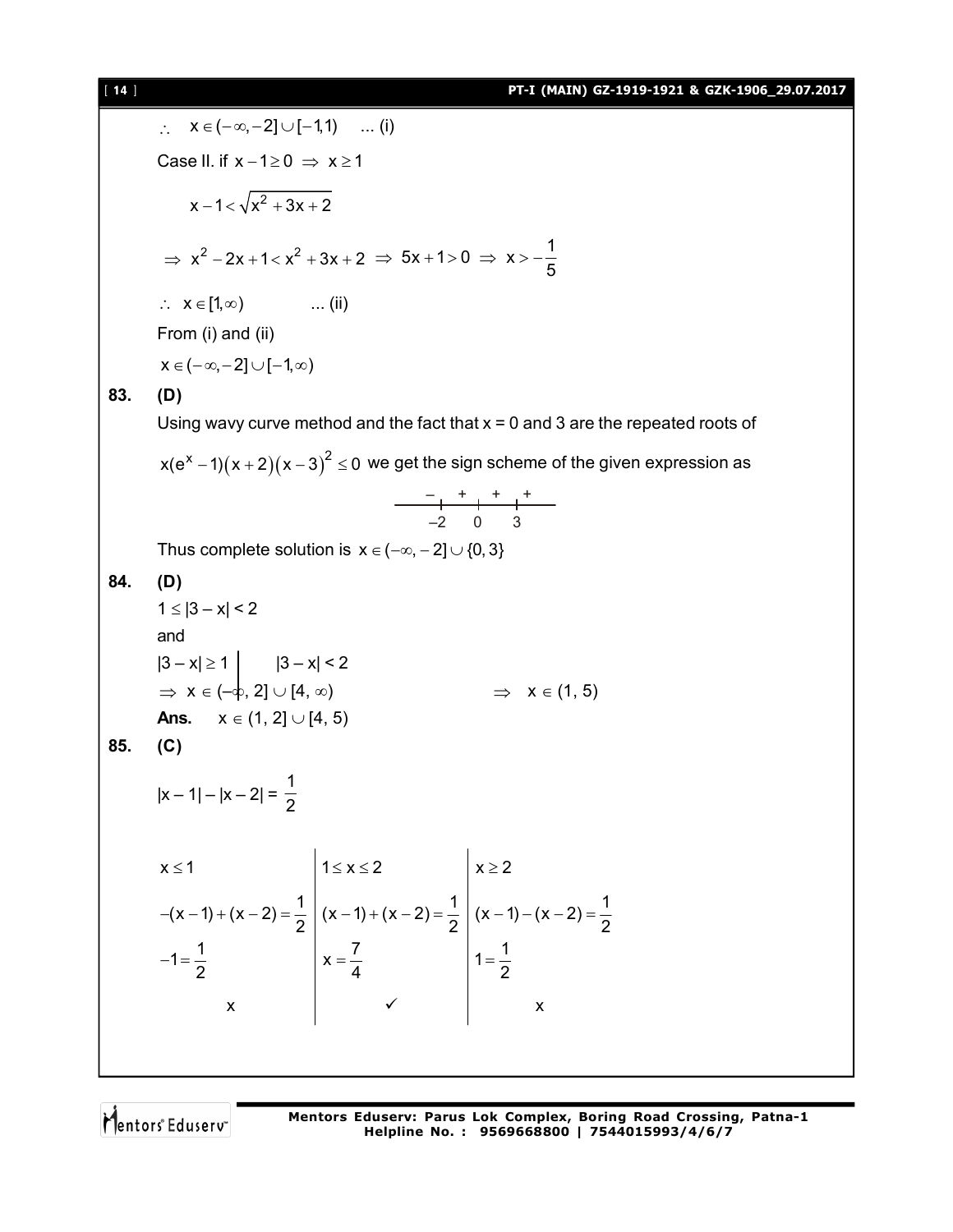## [ **14** ] **PT-I (MAIN) GZ-1919-1921 & GZK-1906\_29.07.2017**

 $x \in (-\infty, -2] \cup [-1,1)$  ... (i) Case II. if  $x - 1 \ge 0 \Rightarrow x \ge 1$  $x - 1 < \sqrt{x^2 + 3x + 2}$  $\Rightarrow$  x<sup>2</sup> - 2x + 1 < x<sup>2</sup> + 3x + 2  $\Rightarrow$  5x + 1 > 0  $\Rightarrow$  x > - $\frac{1}{5}$ 5  $\Rightarrow$  5x + 1 > 0  $\Rightarrow$  x > -- $\therefore$   $X \in [1, \infty)$  ... (ii) From (i) and (ii)  $x \in (-\infty, -2] \cup [-1, \infty)$ **83. (D)** Using wavy curve method and the fact that  $x = 0$  and 3 are the repeated roots of x(e<sup>x</sup> –1) $(x+2)(x-3)^2 \le 0$  we get the sign scheme of the given expression as – + + + –2 0 3 Thus complete solution is  $x \in (-\infty, -2] \cup \{0, 3\}$ **84. (D)**  $1 \le |3 - x| < 2$ and  $|3 - x| \ge 1$   $|3 - x| < 2$  $\Rightarrow$   $x \in (-\phi, 2] \cup [4, \infty)$   $\Rightarrow$   $x \in (1, 5)$ **Ans.**  $x \in (1, 2] \cup [4, 5)$ **85. (C)**  $|x-1|-|x-2|=$ 1 2  $x \le 1$   $\vert 1 \le x \le 2$   $\vert x \ge 2$  $(x-1)+(x-2)=\frac{1}{2}\left(x-1)+(x-2)=\frac{1}{2}\left(x-1)-(x-2)=\frac{1}{2}\right)$ 2  $\begin{pmatrix} 2 & 2 \\ 2 & 2 \end{pmatrix}$   $\begin{pmatrix} 2 & 2 \\ 2 & 2 \end{pmatrix}$  $1 = \frac{1}{2}$   $x = \frac{7}{1}$   $1 = \frac{1}{2}$ 2 4 2 x  $\vee$  x  $\leq 1$   $|1 \leq x \leq 2$   $|x \geq 2$  $-(x-1)+(x-2) = (x-1)+(x-2) = (x-1)-(x-2) = -1 = \frac{1}{2}$   $\vert x = \frac{1}{4}$   $\vert 1 = \frac{1}{2}$  $\checkmark$